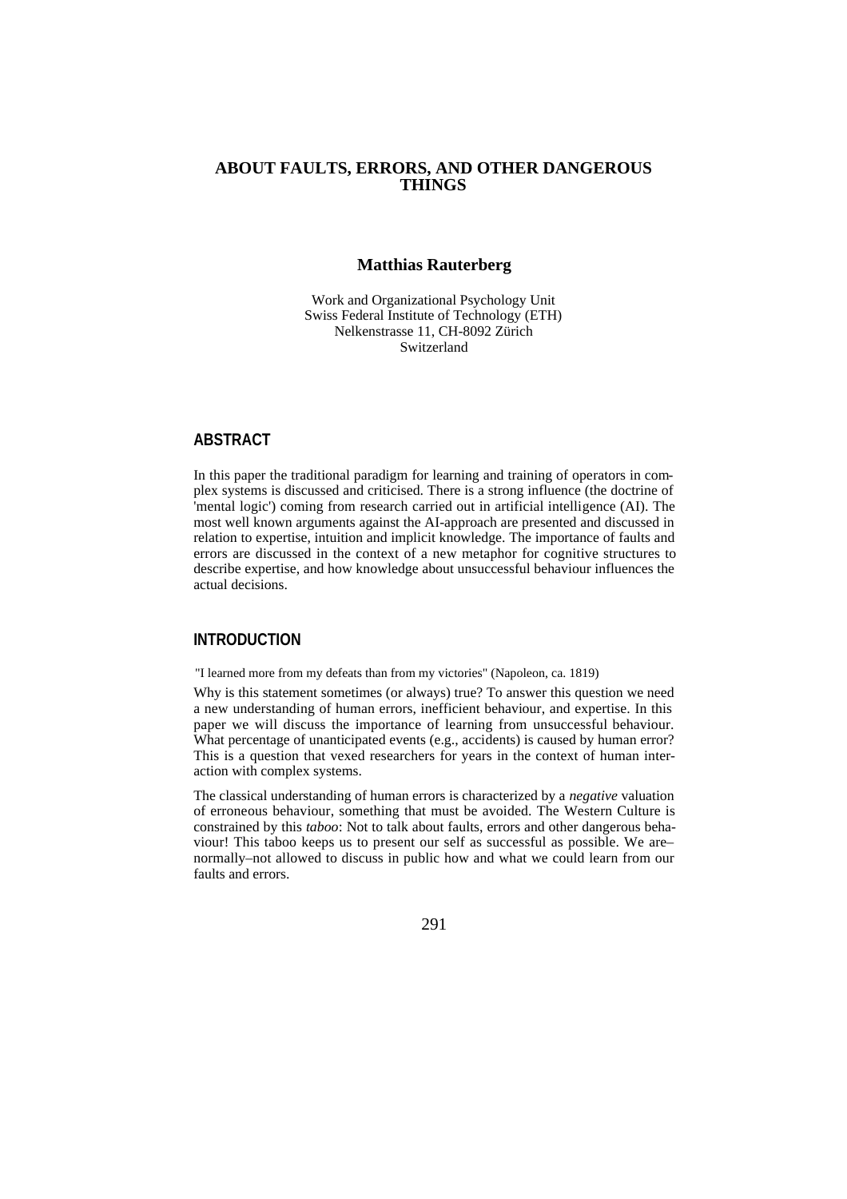# **ABOUT FAULTS, ERRORS, AND OTHER DANGEROUS THINGS**

#### **Matthias Rauterberg**

Work and Organizational Psychology Unit Swiss Federal Institute of Technology (ETH) Nelkenstrasse 11, CH-8092 Zürich Switzerland

# **ABSTRACT**

In this paper the traditional paradigm for learning and training of operators in complex systems is discussed and criticised. There is a strong influence (the doctrine of 'mental logic') coming from research carried out in artificial intelligence (AI). The most well known arguments against the AI-approach are presented and discussed in relation to expertise, intuition and implicit knowledge. The importance of faults and errors are discussed in the context of a new metaphor for cognitive structures to describe expertise, and how knowledge about unsuccessful behaviour influences the actual decisions.

# **INTRODUCTION**

"I learned more from my defeats than from my victories" (Napoleon, ca. 1819)

Why is this statement sometimes (or always) true? To answer this question we need a new understanding of human errors, inefficient behaviour, and expertise. In this paper we will discuss the importance of learning from unsuccessful behaviour. What percentage of unanticipated events (e.g., accidents) is caused by human error? This is a question that vexed researchers for years in the context of human interaction with complex systems.

The classical understanding of human errors is characterized by a *negative* valuation of erroneous behaviour, something that must be avoided. The Western Culture is constrained by this *taboo*: Not to talk about faults, errors and other dangerous behaviour! This taboo keeps us to present our self as successful as possible. We are– normally–not allowed to discuss in public how and what we could learn from our faults and errors.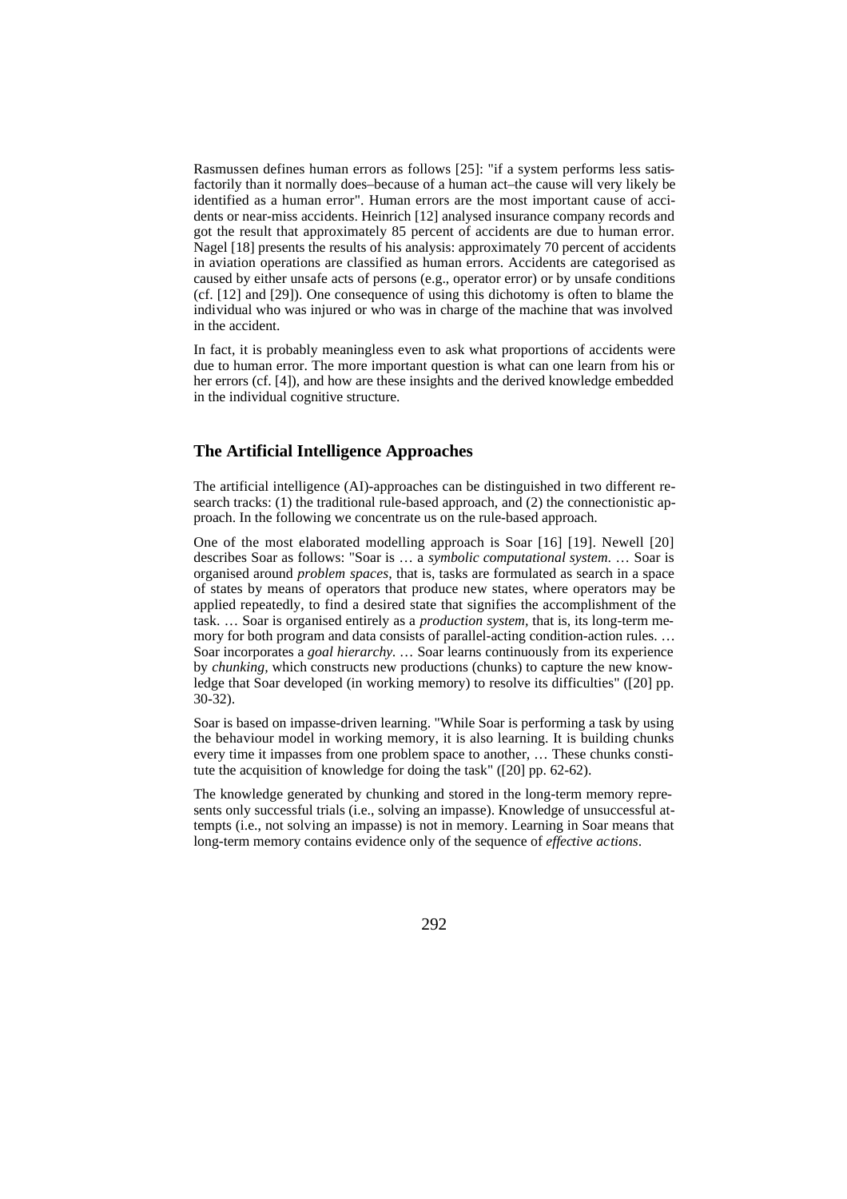Rasmussen defines human errors as follows [25]: "if a system performs less satisfactorily than it normally does–because of a human act–the cause will very likely be identified as a human error". Human errors are the most important cause of accidents or near-miss accidents. Heinrich [12] analysed insurance company records and got the result that approximately 85 percent of accidents are due to human error. Nagel [18] presents the results of his analysis: approximately 70 percent of accidents in aviation operations are classified as human errors. Accidents are categorised as caused by either unsafe acts of persons (e.g., operator error) or by unsafe conditions (cf. [12] and [29]). One consequence of using this dichotomy is often to blame the individual who was injured or who was in charge of the machine that was involved in the accident.

In fact, it is probably meaningless even to ask what proportions of accidents were due to human error. The more important question is what can one learn from his or her errors (cf. [4]), and how are these insights and the derived knowledge embedded in the individual cognitive structure.

#### **The Artificial Intelligence Approaches**

The artificial intelligence (AI)-approaches can be distinguished in two different research tracks: (1) the traditional rule-based approach, and (2) the connectionistic approach. In the following we concentrate us on the rule-based approach.

One of the most elaborated modelling approach is Soar [16] [19]. Newell [20] describes Soar as follows: "Soar is … a *symbolic computational system*. … Soar is organised around *problem spaces,* that is, tasks are formulated as search in a space of states by means of operators that produce new states, where operators may be applied repeatedly, to find a desired state that signifies the accomplishment of the task. … Soar is organised entirely as a *production system,* that is, its long-term memory for both program and data consists of parallel-acting condition-action rules. … Soar incorporates a *goal hierarchy.* … Soar learns continuously from its experience by *chunking,* which constructs new productions (chunks) to capture the new knowledge that Soar developed (in working memory) to resolve its difficulties" ([20] pp. 30-32).

Soar is based on impasse-driven learning. "While Soar is performing a task by using the behaviour model in working memory, it is also learning. It is building chunks every time it impasses from one problem space to another, … These chunks constitute the acquisition of knowledge for doing the task" ([20] pp. 62-62).

The knowledge generated by chunking and stored in the long-term memory represents only successful trials (i.e., solving an impasse). Knowledge of unsuccessful attempts (i.e., not solving an impasse) is not in memory. Learning in Soar means that long-term memory contains evidence only of the sequence of *effective actions*.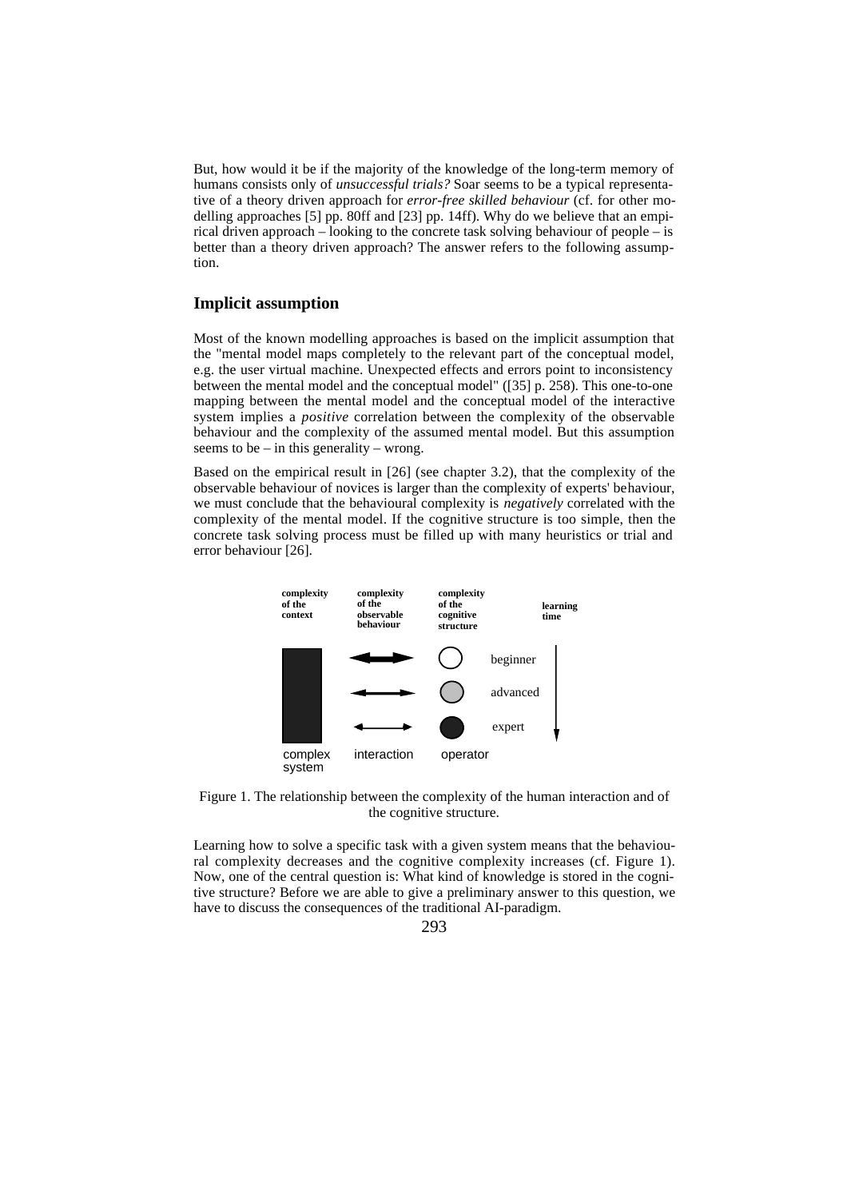But, how would it be if the majority of the knowledge of the long-term memory of humans consists only of *unsuccessful trials?* Soar seems to be a typical representative of a theory driven approach for *error-free skilled behaviour* (cf. for other modelling approaches [5] pp. 80ff and [23] pp. 14ff). Why do we believe that an empirical driven approach – looking to the concrete task solving behaviour of people – is better than a theory driven approach? The answer refers to the following assumption.

#### **Implicit assumption**

Most of the known modelling approaches is based on the implicit assumption that the "mental model maps completely to the relevant part of the conceptual model, e.g. the user virtual machine. Unexpected effects and errors point to inconsistency between the mental model and the conceptual model" ([35] p. 258). This one-to-one mapping between the mental model and the conceptual model of the interactive system implies a *positive* correlation between the complexity of the observable behaviour and the complexity of the assumed mental model. But this assumption seems to be – in this generality – wrong.

Based on the empirical result in [26] (see chapter 3.2), that the complexity of the observable behaviour of novices is larger than the complexity of experts' behaviour, we must conclude that the behavioural complexity is *negatively* correlated with the complexity of the mental model. If the cognitive structure is too simple, then the concrete task solving process must be filled up with many heuristics or trial and error behaviour [26].



Figure 1. The relationship between the complexity of the human interaction and of the cognitive structure.

Learning how to solve a specific task with a given system means that the behavioural complexity decreases and the cognitive complexity increases (cf. Figure 1). Now, one of the central question is: What kind of knowledge is stored in the cognitive structure? Before we are able to give a preliminary answer to this question, we have to discuss the consequences of the traditional AI-paradigm.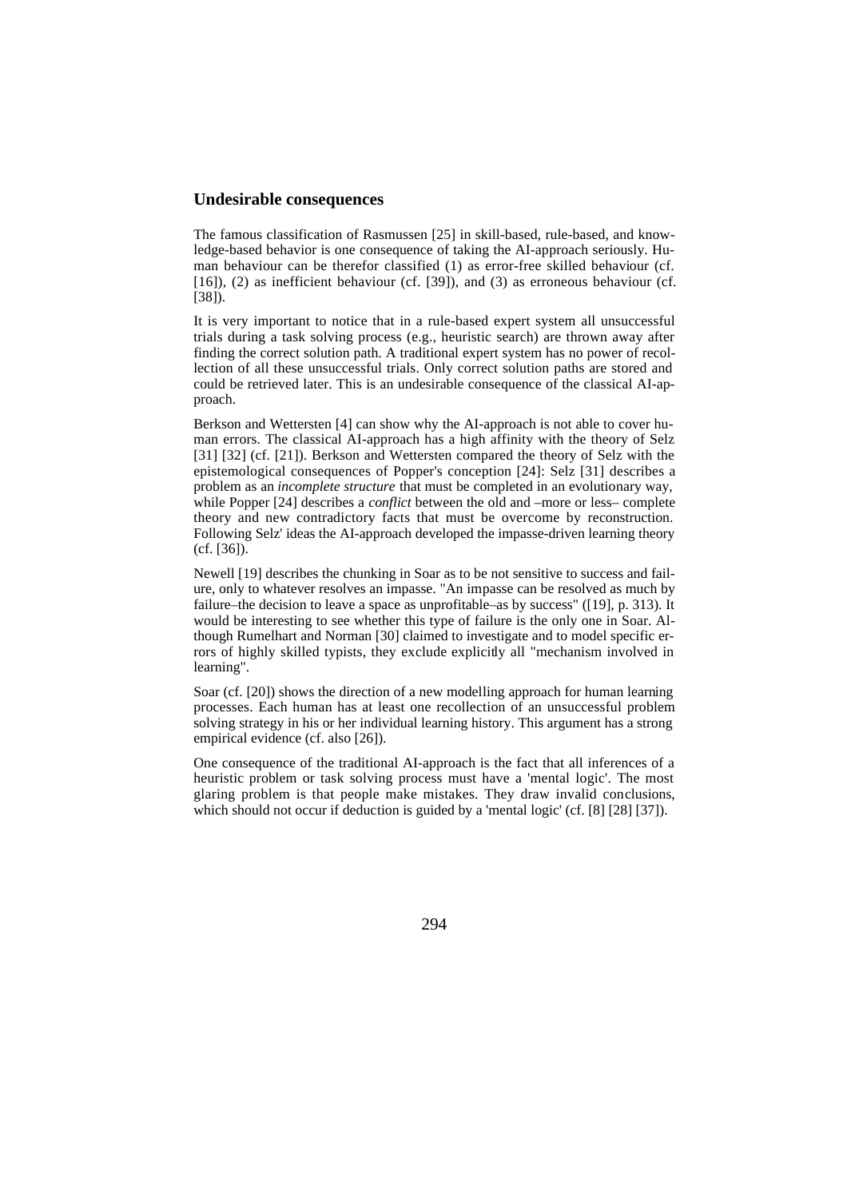#### **Undesirable consequences**

The famous classification of Rasmussen [25] in skill-based, rule-based, and knowledge-based behavior is one consequence of taking the AI-approach seriously. Human behaviour can be therefor classified (1) as error-free skilled behaviour (cf. [16]), (2) as inefficient behaviour (cf. [39]), and (3) as erroneous behaviour (cf. [38]).

It is very important to notice that in a rule-based expert system all unsuccessful trials during a task solving process (e.g., heuristic search) are thrown away after finding the correct solution path. A traditional expert system has no power of recollection of all these unsuccessful trials. Only correct solution paths are stored and could be retrieved later. This is an undesirable consequence of the classical AI-approach.

Berkson and Wettersten [4] can show why the AI-approach is not able to cover human errors. The classical AI-approach has a high affinity with the theory of Selz [31] [32] (cf. [21]). Berkson and Wettersten compared the theory of Selz with the epistemological consequences of Popper's conception [24]: Selz [31] describes a problem as an *incomplete structure* that must be completed in an evolutionary way, while Popper [24] describes a *conflict* between the old and –more or less– complete theory and new contradictory facts that must be overcome by reconstruction. Following Selz' ideas the AI-approach developed the impasse-driven learning theory (cf. [36]).

Newell [19] describes the chunking in Soar as to be not sensitive to success and failure, only to whatever resolves an impasse. "An impasse can be resolved as much by failure–the decision to leave a space as unprofitable–as by success" ([19], p. 313). It would be interesting to see whether this type of failure is the only one in Soar. Although Rumelhart and Norman [30] claimed to investigate and to model specific errors of highly skilled typists, they exclude explicitly all "mechanism involved in learning".

Soar (cf. [20]) shows the direction of a new modelling approach for human learning processes. Each human has at least one recollection of an unsuccessful problem solving strategy in his or her individual learning history. This argument has a strong empirical evidence (cf. also [26]).

One consequence of the traditional AI-approach is the fact that all inferences of a heuristic problem or task solving process must have a 'mental logic'. The most glaring problem is that people make mistakes. They draw invalid conclusions, which should not occur if deduction is guided by a 'mental logic' (cf. [8] [28] [37]).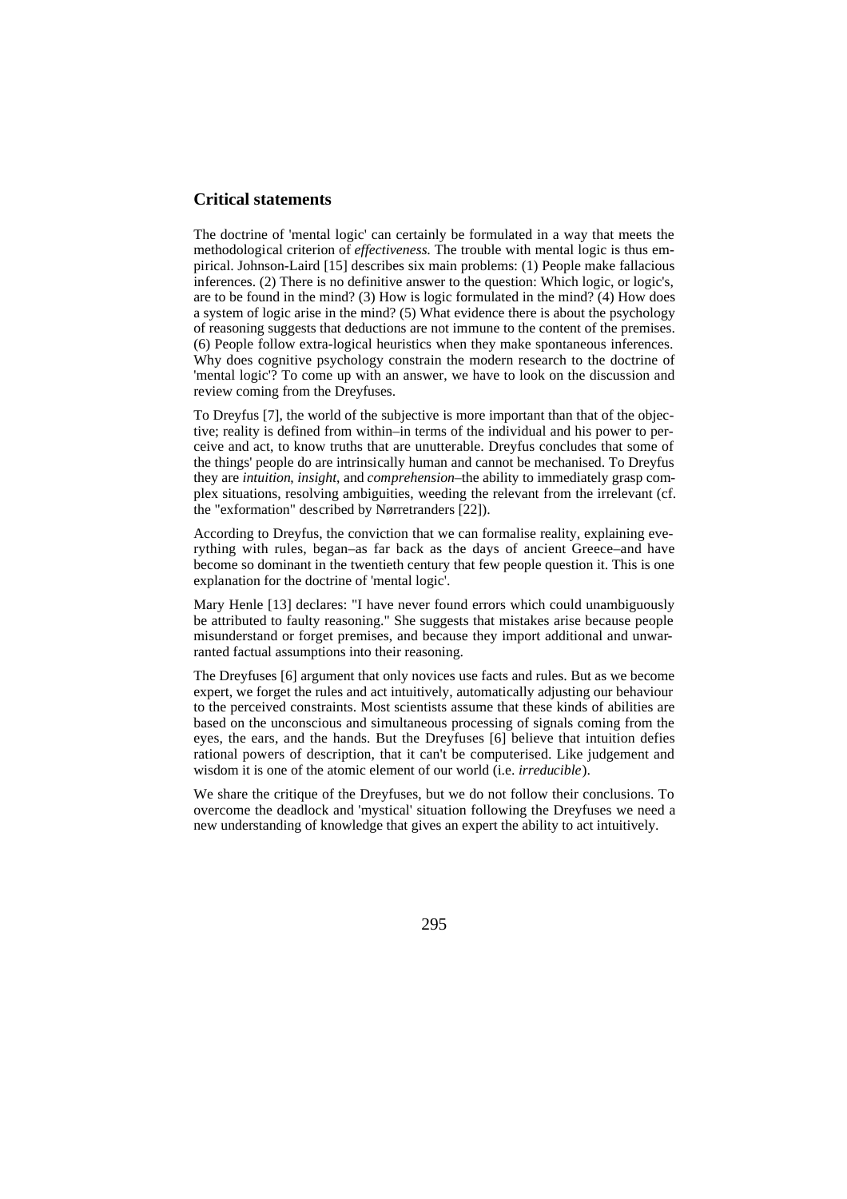#### **Critical statements**

The doctrine of 'mental logic' can certainly be formulated in a way that meets the methodological criterion of *effectiveness*. The trouble with mental logic is thus empirical. Johnson-Laird [15] describes six main problems: (1) People make fallacious inferences. (2) There is no definitive answer to the question: Which logic, or logic's, are to be found in the mind? (3) How is logic formulated in the mind? (4) How does a system of logic arise in the mind? (5) What evidence there is about the psychology of reasoning suggests that deductions are not immune to the content of the premises. (6) People follow extra-logical heuristics when they make spontaneous inferences. Why does cognitive psychology constrain the modern research to the doctrine of 'mental logic'? To come up with an answer, we have to look on the discussion and review coming from the Dreyfuses.

To Dreyfus [7], the world of the subjective is more important than that of the objective; reality is defined from within–in terms of the individual and his power to perceive and act, to know truths that are unutterable. Dreyfus concludes that some of the things' people do are intrinsically human and cannot be mechanised. To Dreyfus they are *intuition*, *insight*, and *comprehension*–the ability to immediately grasp complex situations, resolving ambiguities, weeding the relevant from the irrelevant (cf. the "exformation" described by Nørretranders [22]).

According to Dreyfus, the conviction that we can formalise reality, explaining everything with rules, began–as far back as the days of ancient Greece–and have become so dominant in the twentieth century that few people question it. This is one explanation for the doctrine of 'mental logic'.

Mary Henle [13] declares: "I have never found errors which could unambiguously be attributed to faulty reasoning." She suggests that mistakes arise because people misunderstand or forget premises, and because they import additional and unwarranted factual assumptions into their reasoning.

The Dreyfuses [6] argument that only novices use facts and rules. But as we become expert, we forget the rules and act intuitively, automatically adjusting our behaviour to the perceived constraints. Most scientists assume that these kinds of abilities are based on the unconscious and simultaneous processing of signals coming from the eyes, the ears, and the hands. But the Dreyfuses [6] believe that intuition defies rational powers of description, that it can't be computerised. Like judgement and wisdom it is one of the atomic element of our world (i.e. *irreducible*).

We share the critique of the Dreyfuses, but we do not follow their conclusions. To overcome the deadlock and 'mystical' situation following the Dreyfuses we need a new understanding of knowledge that gives an expert the ability to act intuitively.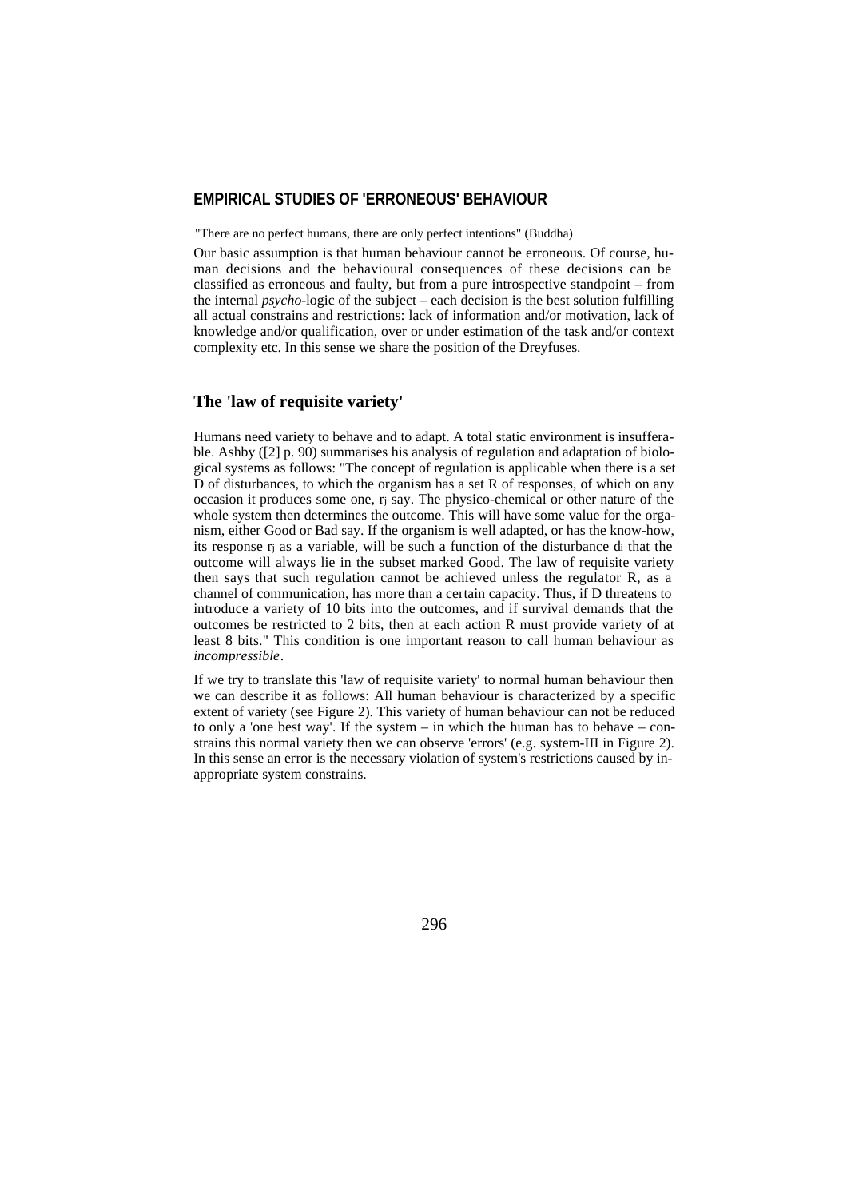# **EMPIRICAL STUDIES OF 'ERRONEOUS' BEHAVIOUR**

"There are no perfect humans, there are only perfect intentions" (Buddha)

Our basic assumption is that human behaviour cannot be erroneous. Of course, human decisions and the behavioural consequences of these decisions can be classified as erroneous and faulty, but from a pure introspective standpoint – from the internal *psycho-*logic of the subject – each decision is the best solution fulfilling all actual constrains and restrictions: lack of information and/or motivation, lack of knowledge and/or qualification, over or under estimation of the task and/or context complexity etc. In this sense we share the position of the Dreyfuses.

#### **The 'law of requisite variety'**

Humans need variety to behave and to adapt. A total static environment is insufferable. Ashby ([2] p. 90) summarises his analysis of regulation and adaptation of biological systems as follows: "The concept of regulation is applicable when there is a set D of disturbances, to which the organism has a set R of responses, of which on any occasion it produces some one, rj say. The physico-chemical or other nature of the whole system then determines the outcome. This will have some value for the organism, either Good or Bad say. If the organism is well adapted, or has the know-how, its response rj as a variable, will be such a function of the disturbance di that the outcome will always lie in the subset marked Good. The law of requisite variety then says that such regulation cannot be achieved unless the regulator R, as a channel of communication, has more than a certain capacity. Thus, if D threatens to introduce a variety of 10 bits into the outcomes, and if survival demands that the outcomes be restricted to 2 bits, then at each action R must provide variety of at least 8 bits." This condition is one important reason to call human behaviour as *incompressible*.

If we try to translate this 'law of requisite variety' to normal human behaviour then we can describe it as follows: All human behaviour is characterized by a specific extent of variety (see Figure 2). This variety of human behaviour can not be reduced to only a 'one best way'. If the system – in which the human has to behave – constrains this normal variety then we can observe 'errors' (e.g. system-III in Figure 2). In this sense an error is the necessary violation of system's restrictions caused by inappropriate system constrains.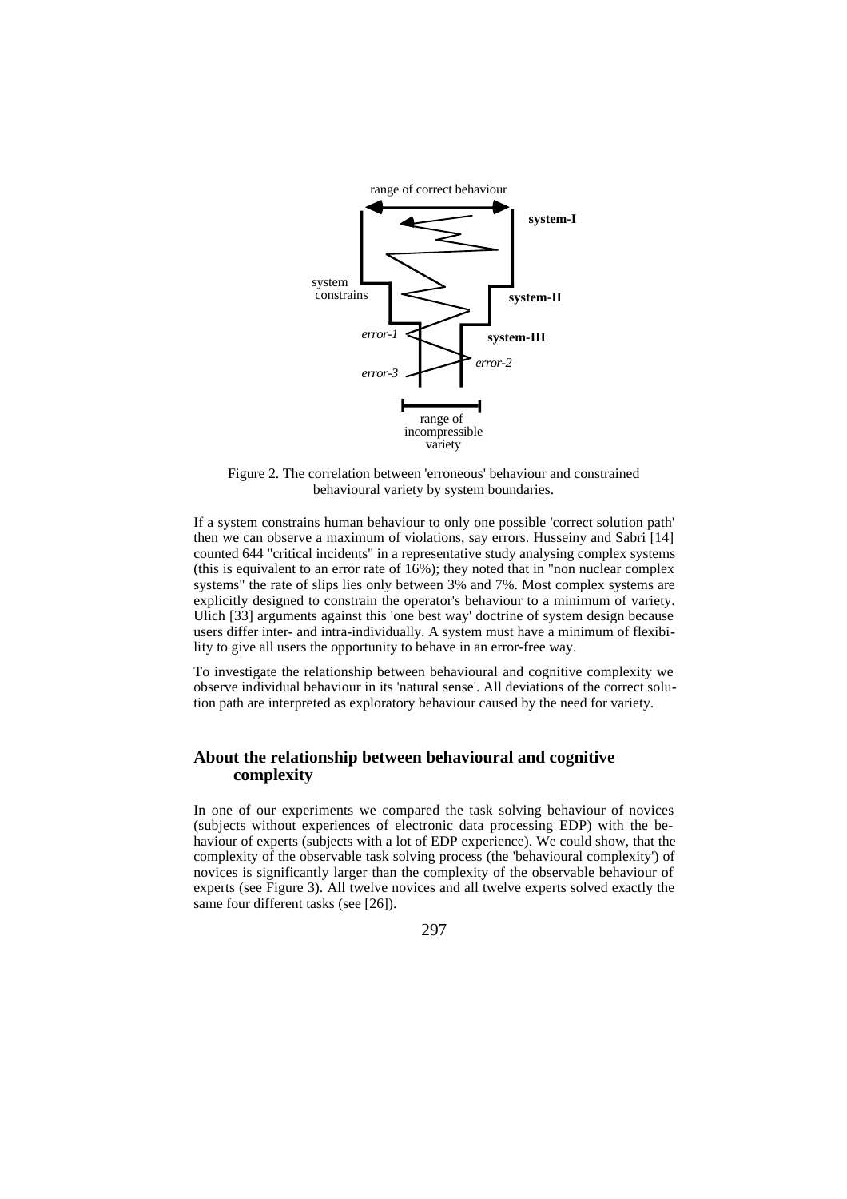

Figure 2. The correlation between 'erroneous' behaviour and constrained behavioural variety by system boundaries.

If a system constrains human behaviour to only one possible 'correct solution path' then we can observe a maximum of violations, say errors. Husseiny and Sabri [14] counted 644 "critical incidents" in a representative study analysing complex systems (this is equivalent to an error rate of 16%); they noted that in "non nuclear complex systems" the rate of slips lies only between 3% and 7%. Most complex systems are explicitly designed to constrain the operator's behaviour to a minimum of variety. Ulich [33] arguments against this 'one best way' doctrine of system design because users differ inter- and intra-individually. A system must have a minimum of flexibility to give all users the opportunity to behave in an error-free way.

To investigate the relationship between behavioural and cognitive complexity we observe individual behaviour in its 'natural sense'. All deviations of the correct solution path are interpreted as exploratory behaviour caused by the need for variety.

# **About the relationship between behavioural and cognitive complexity**

In one of our experiments we compared the task solving behaviour of novices (subjects without experiences of electronic data processing EDP) with the behaviour of experts (subjects with a lot of EDP experience). We could show, that the complexity of the observable task solving process (the 'behavioural complexity') of novices is significantly larger than the complexity of the observable behaviour of experts (see Figure 3). All twelve novices and all twelve experts solved exactly the same four different tasks (see [26]).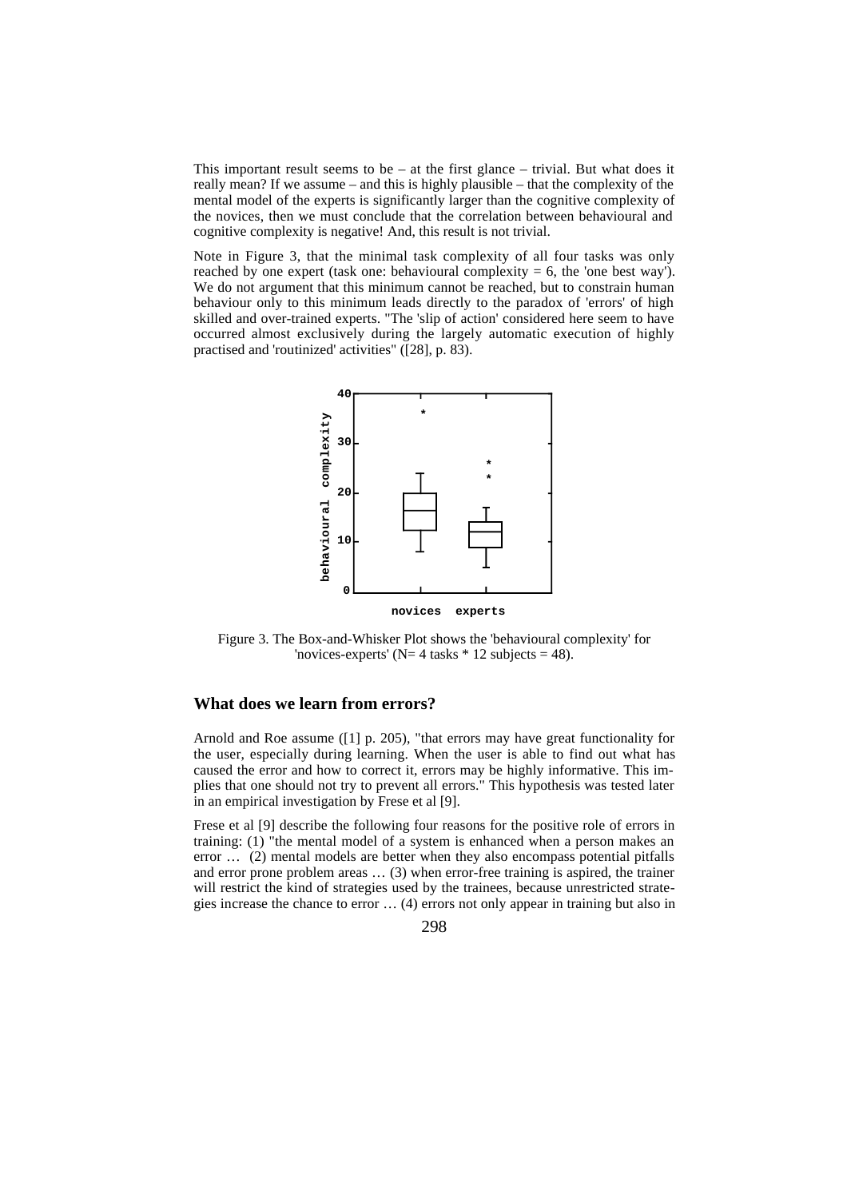This important result seems to be  $-$  at the first glance  $-$  trivial. But what does it really mean? If we assume – and this is highly plausible – that the complexity of the mental model of the experts is significantly larger than the cognitive complexity of the novices, then we must conclude that the correlation between behavioural and cognitive complexity is negative! And, this result is not trivial.

Note in Figure 3, that the minimal task complexity of all four tasks was only reached by one expert (task one: behavioural complexity  $= 6$ , the 'one best way'). We do not argument that this minimum cannot be reached, but to constrain human behaviour only to this minimum leads directly to the paradox of 'errors' of high skilled and over-trained experts. "The 'slip of action' considered here seem to have occurred almost exclusively during the largely automatic execution of highly practised and 'routinized' activities" ([28], p. 83).



Figure 3. The Box-and-Whisker Plot shows the 'behavioural complexity' for 'novices-experts' ( $N= 4$  tasks  $* 12$  subjects = 48).

#### **What does we learn from errors?**

Arnold and Roe assume ([1] p. 205), "that errors may have great functionality for the user, especially during learning. When the user is able to find out what has caused the error and how to correct it, errors may be highly informative. This implies that one should not try to prevent all errors." This hypothesis was tested later in an empirical investigation by Frese et al [9].

Frese et al [9] describe the following four reasons for the positive role of errors in training: (1) "the mental model of a system is enhanced when a person makes an error … (2) mental models are better when they also encompass potential pitfalls and error prone problem areas … (3) when error-free training is aspired, the trainer will restrict the kind of strategies used by the trainees, because unrestricted strategies increase the chance to error … (4) errors not only appear in training but also in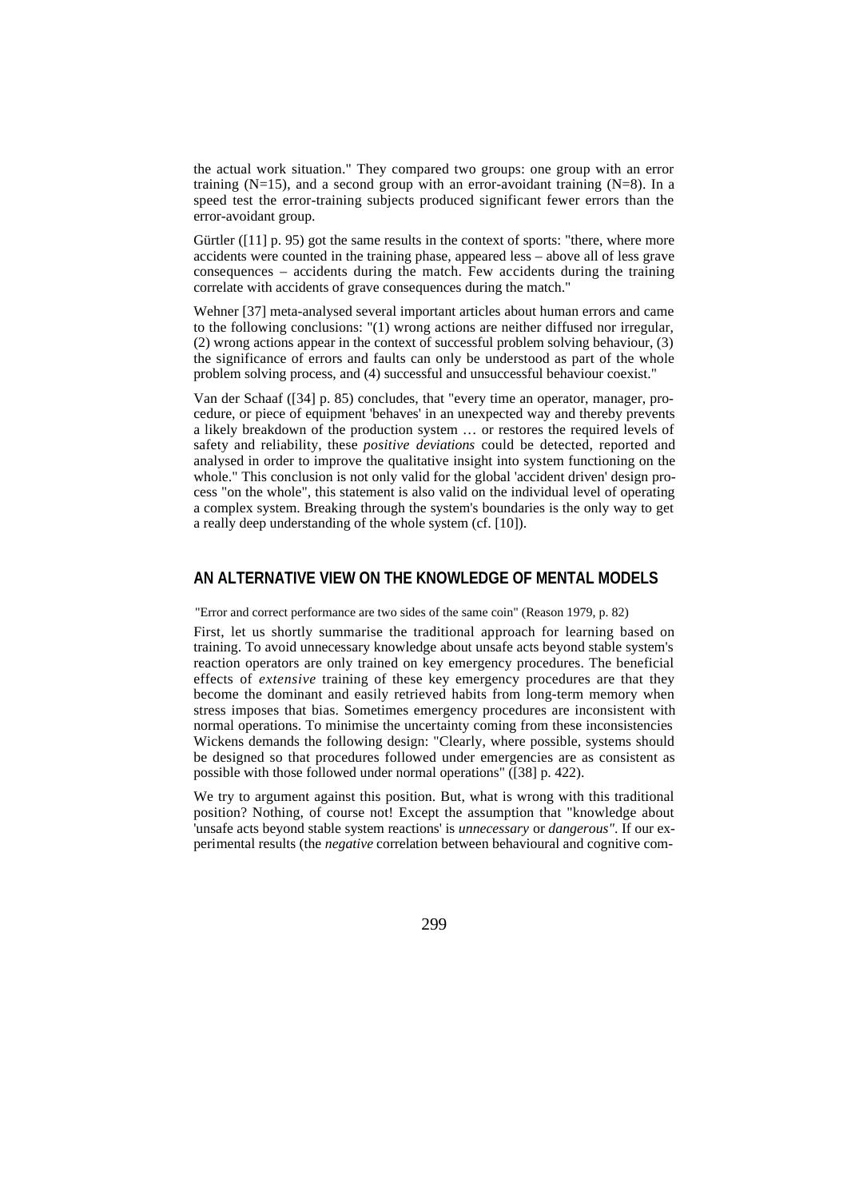the actual work situation." They compared two groups: one group with an error training  $(N=15)$ , and a second group with an error-avoidant training  $(N=8)$ . In a speed test the error-training subjects produced significant fewer errors than the error-avoidant group.

Gürtler ([11] p. 95) got the same results in the context of sports: "there, where more accidents were counted in the training phase, appeared less – above all of less grave consequences – accidents during the match. Few accidents during the training correlate with accidents of grave consequences during the match."

Wehner [37] meta-analysed several important articles about human errors and came to the following conclusions: "(1) wrong actions are neither diffused nor irregular, (2) wrong actions appear in the context of successful problem solving behaviour, (3) the significance of errors and faults can only be understood as part of the whole problem solving process, and (4) successful and unsuccessful behaviour coexist."

Van der Schaaf ([34] p. 85) concludes, that "every time an operator, manager, procedure, or piece of equipment 'behaves' in an unexpected way and thereby prevents a likely breakdown of the production system … or restores the required levels of safety and reliability, these *positive deviations* could be detected, reported and analysed in order to improve the qualitative insight into system functioning on the whole." This conclusion is not only valid for the global 'accident driven' design process "on the whole", this statement is also valid on the individual level of operating a complex system. Breaking through the system's boundaries is the only way to get a really deep understanding of the whole system (cf. [10]).

# **AN ALTERNATIVE VIEW ON THE KNOWLEDGE OF MENTAL MODELS**

"Error and correct performance are two sides of the same coin" (Reason 1979, p. 82)

First, let us shortly summarise the traditional approach for learning based on training. To avoid unnecessary knowledge about unsafe acts beyond stable system's reaction operators are only trained on key emergency procedures. The beneficial effects of *extensive* training of these key emergency procedures are that they become the dominant and easily retrieved habits from long-term memory when stress imposes that bias. Sometimes emergency procedures are inconsistent with normal operations. To minimise the uncertainty coming from these inconsistencies Wickens demands the following design: "Clearly, where possible, systems should be designed so that procedures followed under emergencies are as consistent as possible with those followed under normal operations" ([38] p. 422).

We try to argument against this position. But, what is wrong with this traditional position? Nothing, of course not! Except the assumption that "knowledge about 'unsafe acts beyond stable system reactions' is *unnecessary* or *dangerous"*. If our experimental results (the *negative* correlation between behavioural and cognitive com-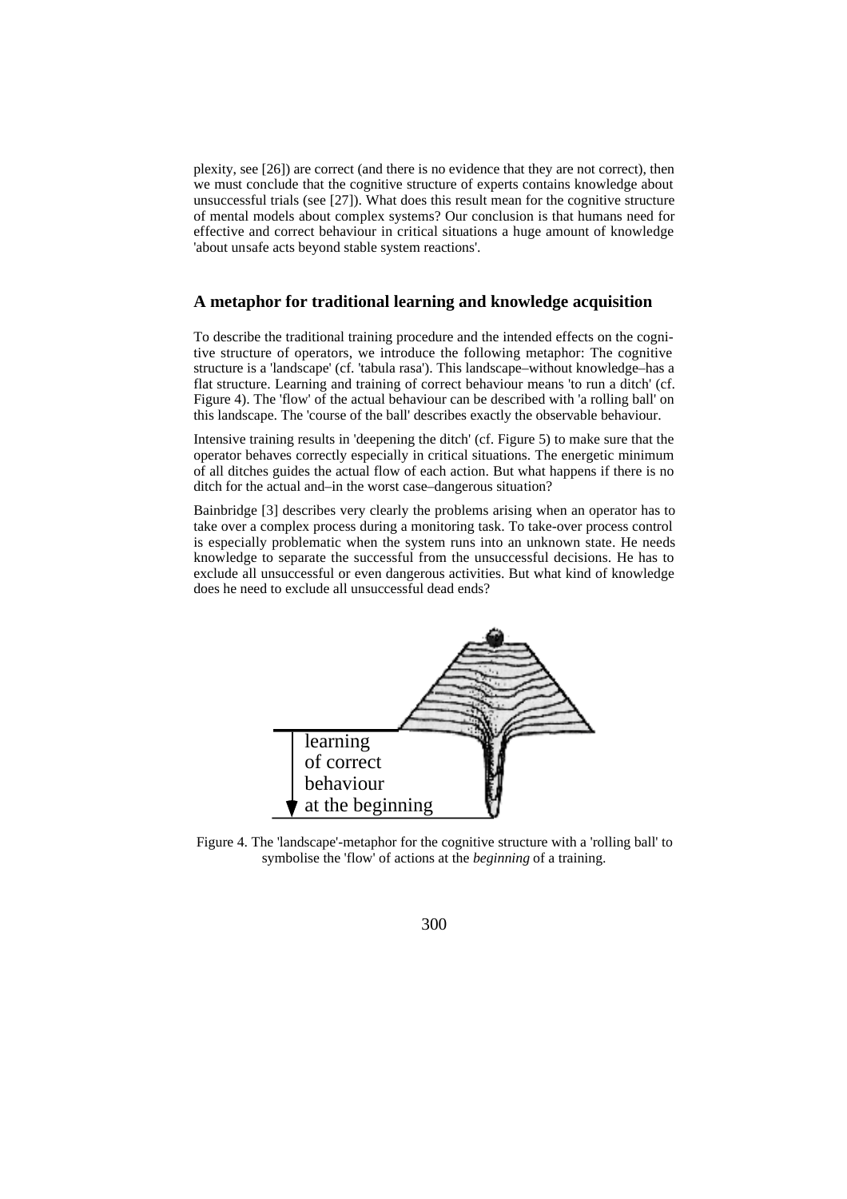plexity, see [26]) are correct (and there is no evidence that they are not correct), then we must conclude that the cognitive structure of experts contains knowledge about unsuccessful trials (see [27]). What does this result mean for the cognitive structure of mental models about complex systems? Our conclusion is that humans need for effective and correct behaviour in critical situations a huge amount of knowledge 'about unsafe acts beyond stable system reactions'.

#### **A metaphor for traditional learning and knowledge acquisition**

To describe the traditional training procedure and the intended effects on the cognitive structure of operators, we introduce the following metaphor: The cognitive structure is a 'landscape' (cf. 'tabula rasa'). This landscape–without knowledge–has a flat structure. Learning and training of correct behaviour means 'to run a ditch' (cf. Figure 4). The 'flow' of the actual behaviour can be described with 'a rolling ball' on this landscape. The 'course of the ball' describes exactly the observable behaviour.

Intensive training results in 'deepening the ditch' (cf. Figure 5) to make sure that the operator behaves correctly especially in critical situations. The energetic minimum of all ditches guides the actual flow of each action. But what happens if there is no ditch for the actual and–in the worst case–dangerous situation?

Bainbridge [3] describes very clearly the problems arising when an operator has to take over a complex process during a monitoring task. To take-over process control is especially problematic when the system runs into an unknown state. He needs knowledge to separate the successful from the unsuccessful decisions. He has to exclude all unsuccessful or even dangerous activities. But what kind of knowledge does he need to exclude all unsuccessful dead ends?



Figure 4. The 'landscape'-metaphor for the cognitive structure with a 'rolling ball' to symbolise the 'flow' of actions at the *beginning* of a training.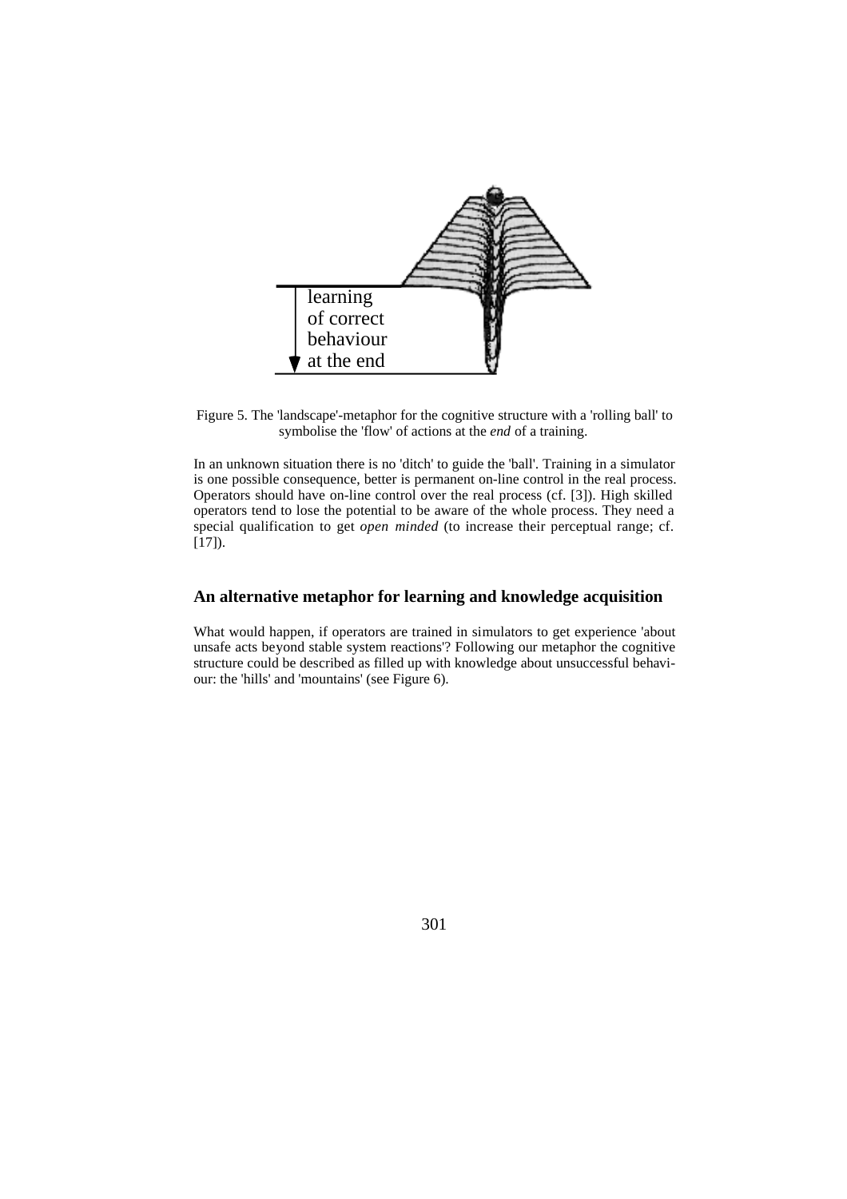

Figure 5. The 'landscape'-metaphor for the cognitive structure with a 'rolling ball' to symbolise the 'flow' of actions at the *end* of a training.

In an unknown situation there is no 'ditch' to guide the 'ball'. Training in a simulator is one possible consequence, better is permanent on-line control in the real process. Operators should have on-line control over the real process (cf. [3]). High skilled operators tend to lose the potential to be aware of the whole process. They need a special qualification to get *open minded* (to increase their perceptual range; cf.  $[17]$ ).

#### **An alternative metaphor for learning and knowledge acquisition**

What would happen, if operators are trained in simulators to get experience 'about unsafe acts beyond stable system reactions'? Following our metaphor the cognitive structure could be described as filled up with knowledge about unsuccessful behaviour: the 'hills' and 'mountains' (see Figure 6).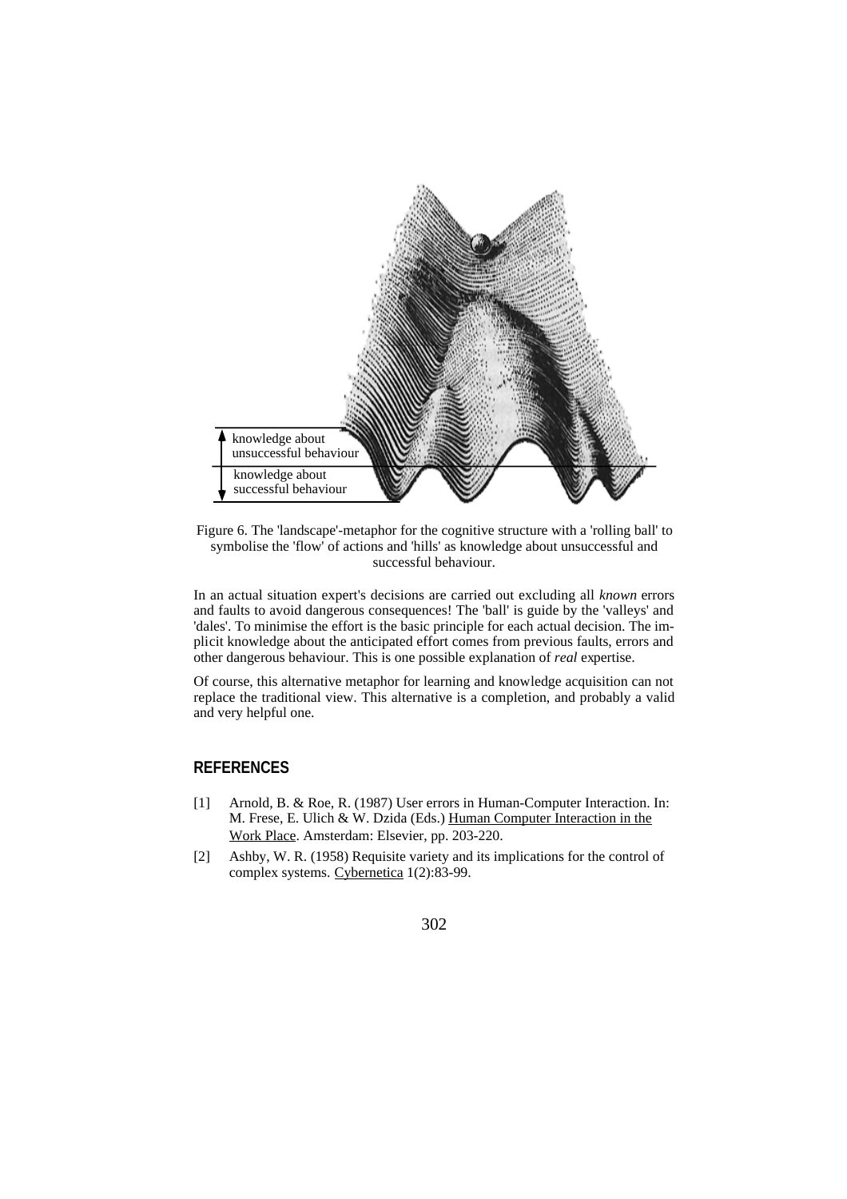

Figure 6. The 'landscape'-metaphor for the cognitive structure with a 'rolling ball' to symbolise the 'flow' of actions and 'hills' as knowledge about unsuccessful and successful behaviour.

In an actual situation expert's decisions are carried out excluding all *known* errors and faults to avoid dangerous consequences! The 'ball' is guide by the 'valleys' and 'dales'. To minimise the effort is the basic principle for each actual decision. The implicit knowledge about the anticipated effort comes from previous faults, errors and other dangerous behaviour. This is one possible explanation of *real* expertise.

Of course, this alternative metaphor for learning and knowledge acquisition can not replace the traditional view. This alternative is a completion, and probably a valid and very helpful one.

# **REFERENCES**

- [1] Arnold, B. & Roe, R. (1987) User errors in Human-Computer Interaction. In: M. Frese, E. Ulich & W. Dzida (Eds.) Human Computer Interaction in the Work Place. Amsterdam: Elsevier, pp. 203-220.
- [2] Ashby, W. R. (1958) Requisite variety and its implications for the control of complex systems. Cybernetica 1(2):83-99.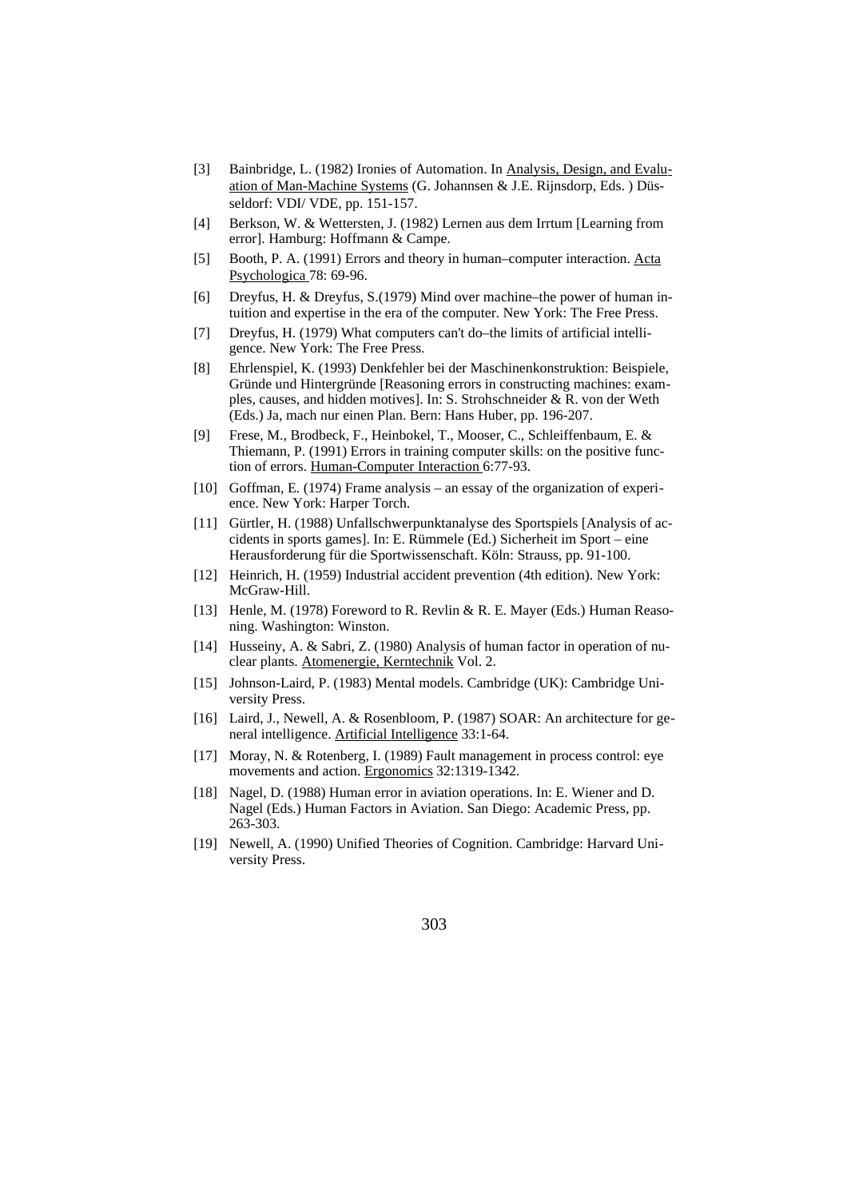- [3] Bainbridge, L. (1982) Ironies of Automation. In Analysis, Design, and Evaluation of Man-Machine Systems (G. Johannsen & J.E. Rijnsdorp, Eds. ) Düsseldorf: VDI/ VDE, pp. 151-157.
- [4] Berkson, W. & Wettersten, J. (1982) Lernen aus dem Irrtum [Learning from error]. Hamburg: Hoffmann & Campe.
- [5] Booth, P. A. (1991) Errors and theory in human–computer interaction. Acta Psychologica 78: 69-96.
- [6] Dreyfus, H. & Dreyfus, S.(1979) Mind over machine–the power of human intuition and expertise in the era of the computer. New York: The Free Press.
- [7] Dreyfus, H. (1979) What computers can't do–the limits of artificial intelligence. New York: The Free Press.
- [8] Ehrlenspiel, K. (1993) Denkfehler bei der Maschinenkonstruktion: Beispiele, Gründe und Hintergründe [Reasoning errors in constructing machines: examples, causes, and hidden motives]. In: S. Strohschneider & R. von der Weth (Eds.) Ja, mach nur einen Plan. Bern: Hans Huber, pp. 196-207.
- [9] Frese, M., Brodbeck, F., Heinbokel, T., Mooser, C., Schleiffenbaum, E. & Thiemann, P. (1991) Errors in training computer skills: on the positive function of errors. Human-Computer Interaction 6:77-93.
- [10] Goffman, E. (1974) Frame analysis an essay of the organization of experience. New York: Harper Torch.
- [11] Gürtler, H. (1988) Unfallschwerpunktanalyse des Sportspiels [Analysis of accidents in sports games]. In: E. Rümmele (Ed.) Sicherheit im Sport – eine Herausforderung für die Sportwissenschaft. Köln: Strauss, pp. 91-100.
- [12] Heinrich, H. (1959) Industrial accident prevention (4th edition). New York: McGraw-Hill.
- [13] Henle, M. (1978) Foreword to R. Revlin & R. E. Mayer (Eds.) Human Reasoning. Washington: Winston.
- [14] Husseiny, A. & Sabri, Z. (1980) Analysis of human factor in operation of nuclear plants. Atomenergie, Kerntechnik Vol. 2.
- [15] Johnson-Laird, P. (1983) Mental models. Cambridge (UK): Cambridge University Press.
- [16] Laird, J., Newell, A. & Rosenbloom, P. (1987) SOAR: An architecture for general intelligence. Artificial Intelligence 33:1-64.
- [17] Moray, N. & Rotenberg, I. (1989) Fault management in process control: eye movements and action. Ergonomics 32:1319-1342.
- [18] Nagel, D. (1988) Human error in aviation operations. In: E. Wiener and D. Nagel (Eds.) Human Factors in Aviation. San Diego: Academic Press, pp. 263-303.
- [19] Newell, A. (1990) Unified Theories of Cognition. Cambridge: Harvard University Press.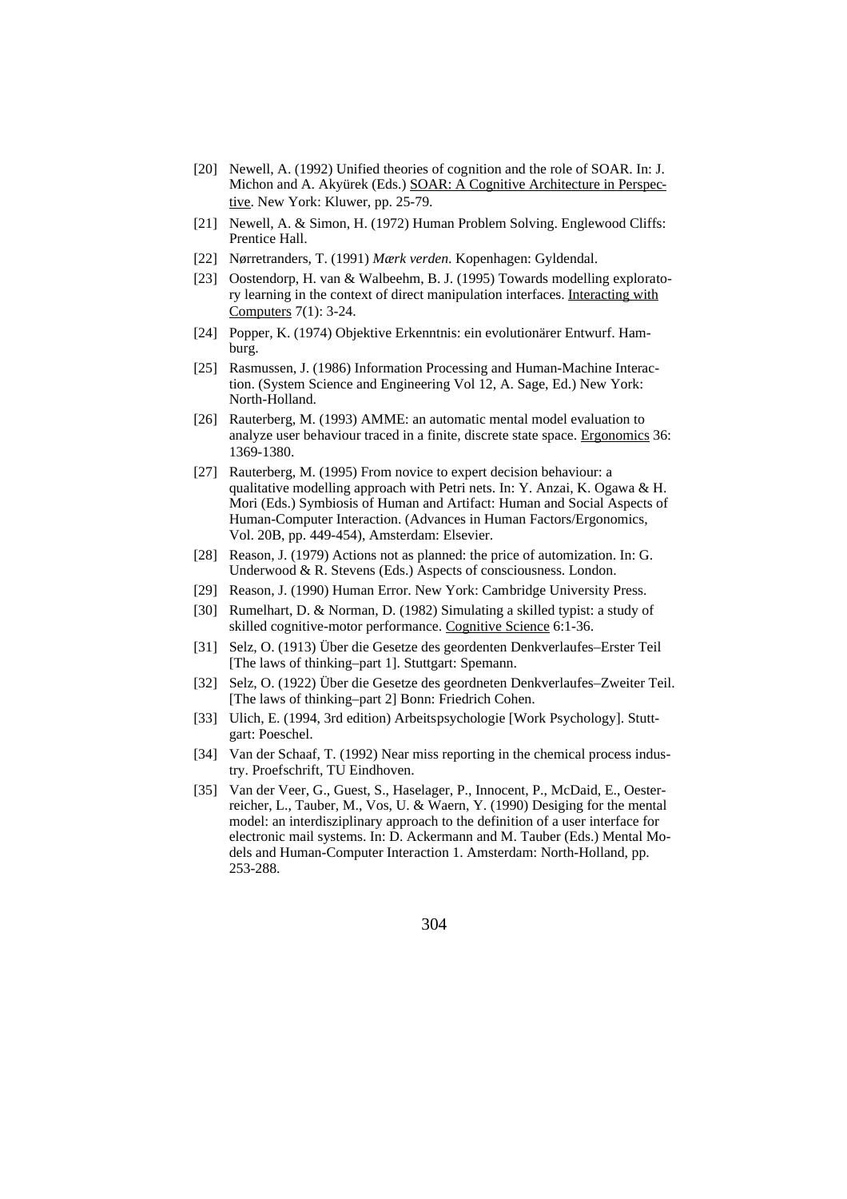- [20] Newell, A. (1992) Unified theories of cognition and the role of SOAR. In: J. Michon and A. Akyürek (Eds.) SOAR: A Cognitive Architecture in Perspective. New York: Kluwer, pp. 25-79.
- [21] Newell, A. & Simon, H. (1972) Human Problem Solving. Englewood Cliffs: Prentice Hall.
- [22] Nørretranders, T. (1991) *Mærk verden*. Kopenhagen: Gyldendal.
- [23] Oostendorp, H. van & Walbeehm, B. J. (1995) Towards modelling exploratory learning in the context of direct manipulation interfaces. Interacting with Computers 7(1): 3-24.
- [24] Popper, K. (1974) Objektive Erkenntnis: ein evolutionärer Entwurf. Hamburg.
- [25] Rasmussen, J. (1986) Information Processing and Human-Machine Interaction. (System Science and Engineering Vol 12, A. Sage, Ed.) New York: North-Holland.
- [26] Rauterberg, M. (1993) AMME: an automatic mental model evaluation to analyze user behaviour traced in a finite, discrete state space. Ergonomics 36: 1369-1380.
- [27] Rauterberg, M. (1995) From novice to expert decision behaviour: a qualitative modelling approach with Petri nets. In: Y. Anzai, K. Ogawa & H. Mori (Eds.) Symbiosis of Human and Artifact: Human and Social Aspects of Human-Computer Interaction. (Advances in Human Factors/Ergonomics, Vol. 20B, pp. 449-454), Amsterdam: Elsevier.
- [28] Reason, J. (1979) Actions not as planned: the price of automization. In: G. Underwood & R. Stevens (Eds.) Aspects of consciousness. London.
- [29] Reason, J. (1990) Human Error. New York: Cambridge University Press.
- [30] Rumelhart, D. & Norman, D. (1982) Simulating a skilled typist: a study of skilled cognitive-motor performance. Cognitive Science 6:1-36.
- [31] Selz, O. (1913) Über die Gesetze des geordenten Denkverlaufes–Erster Teil [The laws of thinking–part 1]. Stuttgart: Spemann.
- [32] Selz, O. (1922) Über die Gesetze des geordneten Denkverlaufes–Zweiter Teil. [The laws of thinking–part 2] Bonn: Friedrich Cohen.
- [33] Ulich, E. (1994, 3rd edition) Arbeitspsychologie [Work Psychology]. Stuttgart: Poeschel.
- [34] Van der Schaaf, T. (1992) Near miss reporting in the chemical process industry. Proefschrift, TU Eindhoven.
- [35] Van der Veer, G., Guest, S., Haselager, P., Innocent, P., McDaid, E., Oesterreicher, L., Tauber, M., Vos, U. & Waern, Y. (1990) Desiging for the mental model: an interdisziplinary approach to the definition of a user interface for electronic mail systems. In: D. Ackermann and M. Tauber (Eds.) Mental Models and Human-Computer Interaction 1. Amsterdam: North-Holland, pp. 253-288.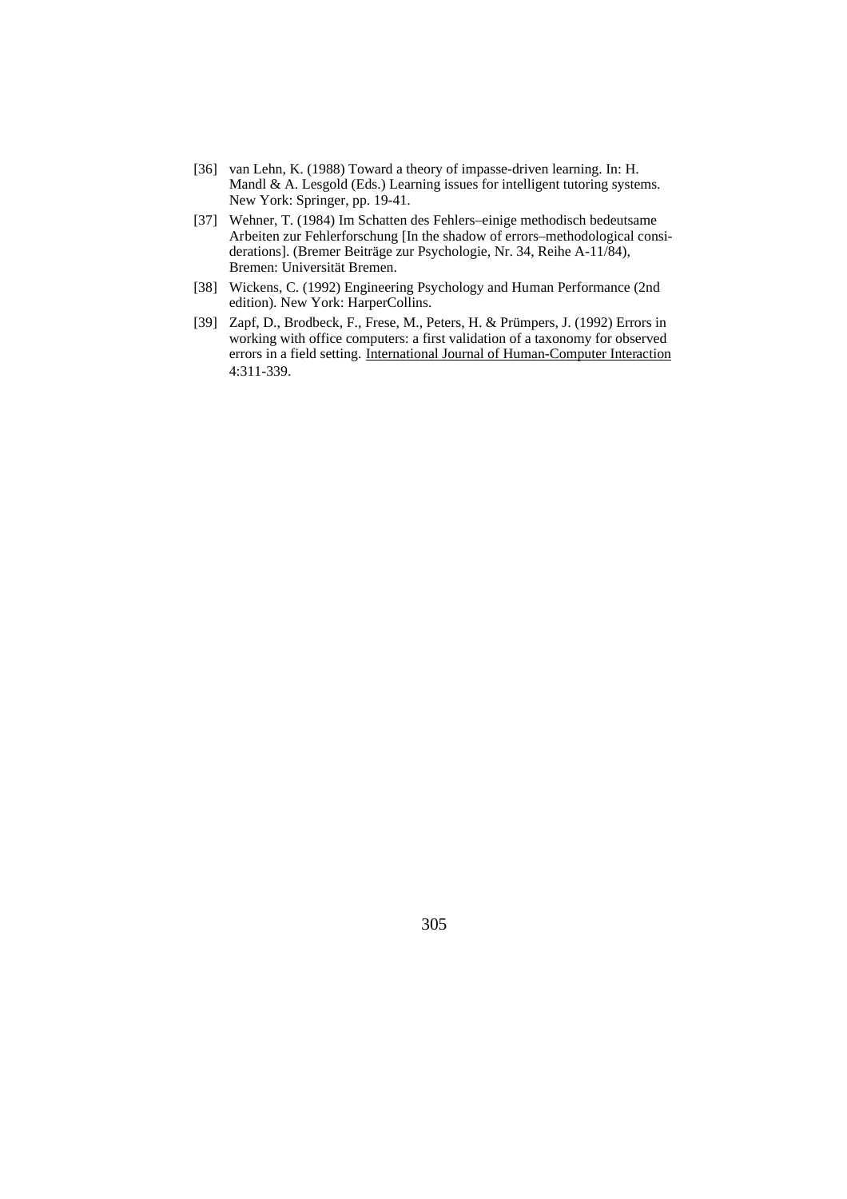- [36] van Lehn, K. (1988) Toward a theory of impasse-driven learning. In: H. Mandl & A. Lesgold (Eds.) Learning issues for intelligent tutoring systems. New York: Springer, pp. 19-41.
- [37] Wehner, T. (1984) Im Schatten des Fehlers–einige methodisch bedeutsame Arbeiten zur Fehlerforschung [In the shadow of errors–methodological considerations]. (Bremer Beiträge zur Psychologie, Nr. 34, Reihe A-11/84), Bremen: Universität Bremen.
- [38] Wickens, C. (1992) Engineering Psychology and Human Performance (2nd) edition). New York: HarperCollins.
- [39] Zapf, D., Brodbeck, F., Frese, M., Peters, H. & Prümpers, J. (1992) Errors in working with office computers: a first validation of a taxonomy for observed errors in a field setting. International Journal of Human-Computer Interaction 4:311-339.